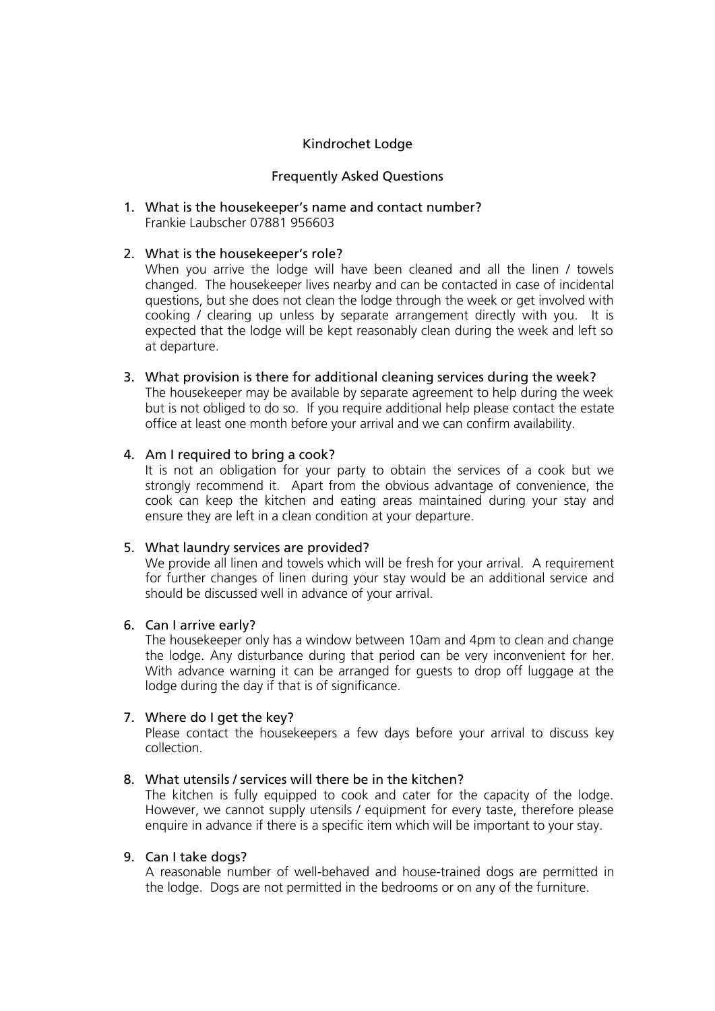# Kindrochet Lodge

### Frequently Asked Questions

#### 1. What is the housekeeper's name and contact number? Frankie Laubscher 07881 956603

### 2. What is the housekeeper's role?

When you arrive the lodge will have been cleaned and all the linen / towels changed. The housekeeper lives nearby and can be contacted in case of incidental questions, but she does not clean the lodge through the week or get involved with cooking / clearing up unless by separate arrangement directly with you. It is expected that the lodge will be kept reasonably clean during the week and left so at departure.

### 3. What provision is there for additional cleaning services during the week?

The housekeeper may be available by separate agreement to help during the week but is not obliged to do so. If you require additional help please contact the estate office at least one month before your arrival and we can confirm availability.

### 4. Am I required to bring a cook?

It is not an obligation for your party to obtain the services of a cook but we strongly recommend it. Apart from the obvious advantage of convenience, the cook can keep the kitchen and eating areas maintained during your stay and ensure they are left in a clean condition at your departure.

## 5. What laundry services are provided?

We provide all linen and towels which will be fresh for your arrival. A requirement for further changes of linen during your stay would be an additional service and should be discussed well in advance of your arrival.

## 6. Can I arrive early?

The housekeeper only has a window between 10am and 4pm to clean and change the lodge. Any disturbance during that period can be very inconvenient for her. With advance warning it can be arranged for guests to drop off luggage at the lodge during the day if that is of significance.

## 7. Where do I get the key?

Please contact the housekeepers a few days before your arrival to discuss key collection.

## 8. What utensils / services will there be in the kitchen?

The kitchen is fully equipped to cook and cater for the capacity of the lodge. However, we cannot supply utensils / equipment for every taste, therefore please enquire in advance if there is a specific item which will be important to your stay.

#### 9. Can I take dogs?

A reasonable number of well-behaved and house-trained dogs are permitted in the lodge. Dogs are not permitted in the bedrooms or on any of the furniture.